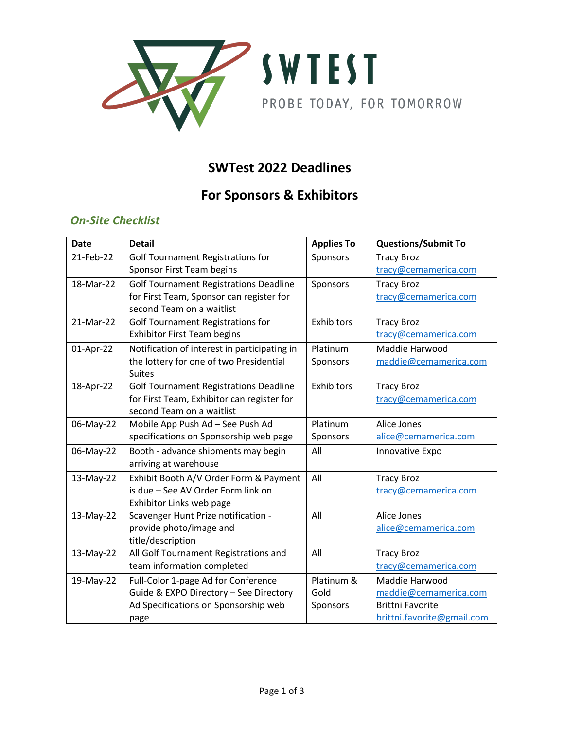

### **SWTest 2022 Deadlines**

# **For Sponsors & Exhibitors**

#### *On-Site Checklist*

| <b>Date</b> | <b>Detail</b>                                                                               | <b>Applies To</b> | <b>Questions/Submit To</b>                |
|-------------|---------------------------------------------------------------------------------------------|-------------------|-------------------------------------------|
| 21-Feb-22   | <b>Golf Tournament Registrations for</b>                                                    | Sponsors          | <b>Tracy Broz</b>                         |
|             | Sponsor First Team begins                                                                   |                   | tracy@cemamerica.com                      |
| 18-Mar-22   | <b>Golf Tournament Registrations Deadline</b>                                               | Sponsors          | <b>Tracy Broz</b>                         |
|             | for First Team, Sponsor can register for                                                    |                   | tracy@cemamerica.com                      |
|             | second Team on a waitlist                                                                   |                   |                                           |
| 21-Mar-22   | <b>Golf Tournament Registrations for</b>                                                    | Exhibitors        | <b>Tracy Broz</b>                         |
|             | <b>Exhibitor First Team begins</b>                                                          |                   | tracy@cemamerica.com                      |
| 01-Apr-22   | Notification of interest in participating in                                                | Platinum          | Maddie Harwood                            |
|             | the lottery for one of two Presidential                                                     | Sponsors          | maddie@cemamerica.com                     |
|             | <b>Suites</b>                                                                               |                   |                                           |
| 18-Apr-22   | <b>Golf Tournament Registrations Deadline</b><br>for First Team, Exhibitor can register for | Exhibitors        | <b>Tracy Broz</b><br>tracy@cemamerica.com |
|             | second Team on a waitlist                                                                   |                   |                                           |
| 06-May-22   | Mobile App Push Ad - See Push Ad                                                            | Platinum          | Alice Jones                               |
|             | specifications on Sponsorship web page                                                      | Sponsors          | alice@cemamerica.com                      |
| 06-May-22   | Booth - advance shipments may begin                                                         | All               | Innovative Expo                           |
|             | arriving at warehouse                                                                       |                   |                                           |
| 13-May-22   | Exhibit Booth A/V Order Form & Payment                                                      | All               | <b>Tracy Broz</b>                         |
|             | is due - See AV Order Form link on                                                          |                   | tracy@cemamerica.com                      |
|             | Exhibitor Links web page                                                                    |                   |                                           |
| 13-May-22   | Scavenger Hunt Prize notification -                                                         | All               | Alice Jones                               |
|             | provide photo/image and                                                                     |                   | alice@cemamerica.com                      |
|             | title/description                                                                           |                   |                                           |
| 13-May-22   | All Golf Tournament Registrations and                                                       | All               | <b>Tracy Broz</b>                         |
|             | team information completed                                                                  |                   | tracy@cemamerica.com                      |
| 19-May-22   | Full-Color 1-page Ad for Conference                                                         | Platinum &        | Maddie Harwood                            |
|             | Guide & EXPO Directory - See Directory                                                      | Gold              | maddie@cemamerica.com                     |
|             | Ad Specifications on Sponsorship web                                                        | Sponsors          | <b>Brittni Favorite</b>                   |
|             | page                                                                                        |                   | brittni.favorite@gmail.com                |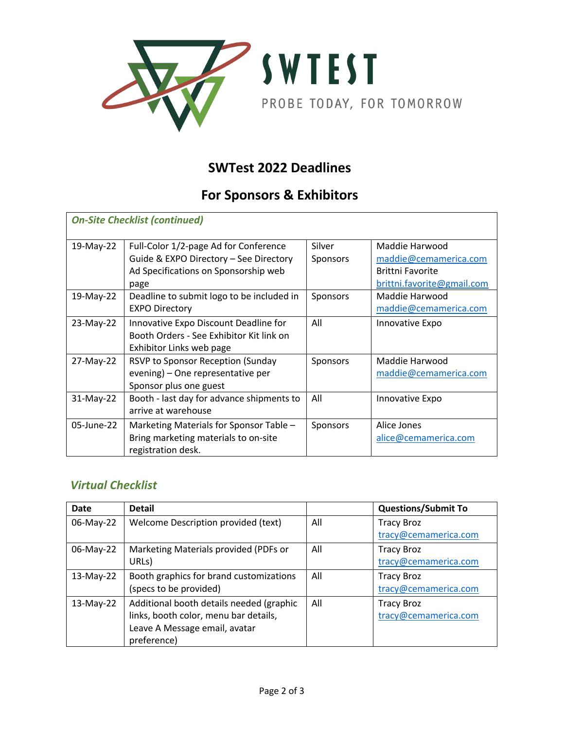

### **SWTest 2022 Deadlines**

# **For Sponsors & Exhibitors**

| <b>On-Site Checklist (continued)</b> |                                                                                                                                 |                    |                                                                                                  |  |  |
|--------------------------------------|---------------------------------------------------------------------------------------------------------------------------------|--------------------|--------------------------------------------------------------------------------------------------|--|--|
| 19-May-22                            | Full-Color 1/2-page Ad for Conference<br>Guide & EXPO Directory - See Directory<br>Ad Specifications on Sponsorship web<br>page | Silver<br>Sponsors | Maddie Harwood<br>maddie@cemamerica.com<br><b>Brittni Favorite</b><br>brittni.favorite@gmail.com |  |  |
| 19-May-22                            | Deadline to submit logo to be included in<br><b>EXPO Directory</b>                                                              | Sponsors           | Maddie Harwood<br>maddie@cemamerica.com                                                          |  |  |
| 23-May-22                            | Innovative Expo Discount Deadline for<br>Booth Orders - See Exhibitor Kit link on<br>Exhibitor Links web page                   | All                | Innovative Expo                                                                                  |  |  |
| 27-May-22                            | RSVP to Sponsor Reception (Sunday<br>evening) – One representative per<br>Sponsor plus one guest                                | Sponsors           | Maddie Harwood<br>maddie@cemamerica.com                                                          |  |  |
| 31-May-22                            | Booth - last day for advance shipments to<br>arrive at warehouse                                                                | All                | Innovative Expo                                                                                  |  |  |
| 05-June-22                           | Marketing Materials for Sponsor Table -<br>Bring marketing materials to on-site<br>registration desk.                           | Sponsors           | Alice Jones<br>alice@cemamerica.com                                                              |  |  |

#### *Virtual Checklist*

| Date      | <b>Detail</b>                            |     | <b>Questions/Submit To</b> |
|-----------|------------------------------------------|-----|----------------------------|
| 06-May-22 | Welcome Description provided (text)      | All | <b>Tracy Broz</b>          |
|           |                                          |     | tracy@cemamerica.com       |
| 06-May-22 | Marketing Materials provided (PDFs or    | All | <b>Tracy Broz</b>          |
|           | URL <sub>S</sub> )                       |     | tracy@cemamerica.com       |
| 13-May-22 | Booth graphics for brand customizations  | All | <b>Tracy Broz</b>          |
|           | (specs to be provided)                   |     | tracy@cemamerica.com       |
| 13-May-22 | Additional booth details needed (graphic | All | <b>Tracy Broz</b>          |
|           | links, booth color, menu bar details,    |     | tracy@cemamerica.com       |
|           | Leave A Message email, avatar            |     |                            |
|           | preference)                              |     |                            |